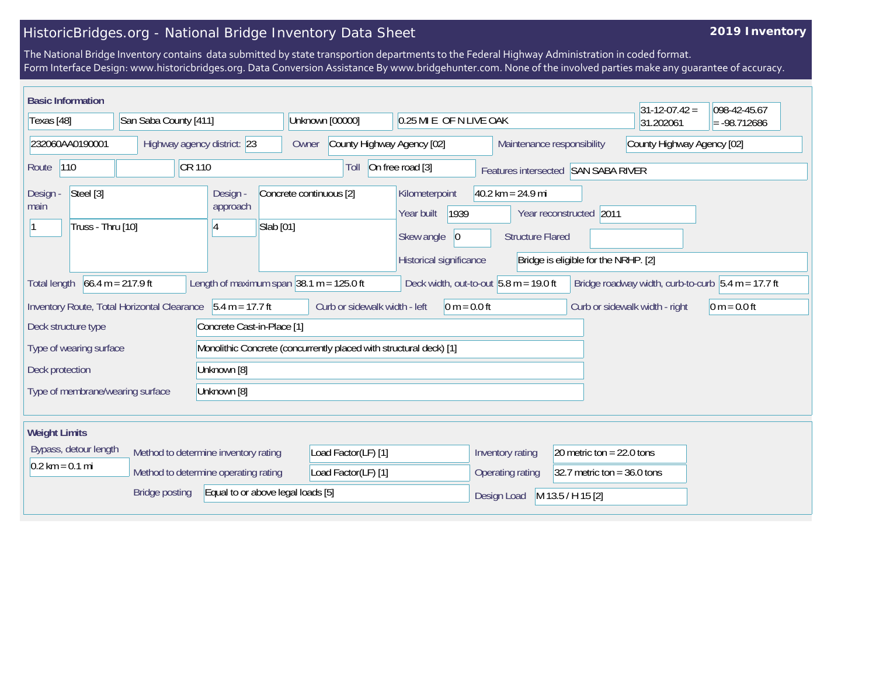## HistoricBridges.org - National Bridge Inventory Data Sheet

## **2019 Inventory**

The National Bridge Inventory contains data submitted by state transportion departments to the Federal Highway Administration in coded format. Form Interface Design: www.historicbridges.org. Data Conversion Assistance By www.bridgehunter.com. None of the involved parties make any guarantee of accuracy.

| <b>Basic Information</b>                                                                                                                                                                                       |                                             |                                                                    |                                     |                                      |                                                |                                      | $31-12-07.42 =$                | 098-42-45.67   |  |
|----------------------------------------------------------------------------------------------------------------------------------------------------------------------------------------------------------------|---------------------------------------------|--------------------------------------------------------------------|-------------------------------------|--------------------------------------|------------------------------------------------|--------------------------------------|--------------------------------|----------------|--|
| Texas [48]                                                                                                                                                                                                     |                                             | San Saba County [411]                                              |                                     | 0.25 MI E OF N LIVE OAK              |                                                |                                      | 31.202061                      | $= -98.712686$ |  |
| 232060AA0190001                                                                                                                                                                                                |                                             | Highway agency district: 23                                        | County Highway Agency [02]<br>Owner |                                      | Maintenance responsibility                     |                                      | County Highway Agency [02]     |                |  |
| 110<br>Route                                                                                                                                                                                                   | <b>CR110</b>                                |                                                                    | Toll                                | On free road [3]                     |                                                | Features intersected SAN SABA RIVER  |                                |                |  |
| Steel [3]<br>Design -<br>main                                                                                                                                                                                  |                                             | Design -<br>approach                                               | Concrete continuous [2]             | Kilometerpoint<br>1939<br>Year built | $40.2$ km = 24.9 mi<br>Year reconstructed 2011 |                                      |                                |                |  |
| Truss - Thru [10]<br>14                                                                                                                                                                                        |                                             | Slab [01]                                                          |                                     | Skew angle<br> 0                     | <b>Structure Flared</b>                        |                                      |                                |                |  |
|                                                                                                                                                                                                                |                                             |                                                                    |                                     | Historical significance              |                                                | Bridge is eligible for the NRHP. [2] |                                |                |  |
| Length of maximum span $ 38.1 \text{ m} = 125.0 \text{ ft} $<br>$66.4 m = 217.9 ft$<br>Deck width, out-to-out $5.8$ m = 19.0 ft<br>Bridge roadway width, curb-to-curb $5.4 m = 17.7 ft$<br><b>Total length</b> |                                             |                                                                    |                                     |                                      |                                                |                                      |                                |                |  |
|                                                                                                                                                                                                                | Inventory Route, Total Horizontal Clearance | $5.4 m = 17.7 ft$                                                  | Curb or sidewalk width - left       | $0 m = 0.0 ft$                       |                                                |                                      | Curb or sidewalk width - right | $0 m = 0.0 ft$ |  |
| Deck structure type                                                                                                                                                                                            |                                             | Concrete Cast-in-Place [1]                                         |                                     |                                      |                                                |                                      |                                |                |  |
| Type of wearing surface                                                                                                                                                                                        |                                             | Monolithic Concrete (concurrently placed with structural deck) [1] |                                     |                                      |                                                |                                      |                                |                |  |
| Unknown [8]<br>Deck protection                                                                                                                                                                                 |                                             |                                                                    |                                     |                                      |                                                |                                      |                                |                |  |
| Type of membrane/wearing surface                                                                                                                                                                               |                                             | Unknown [8]                                                        |                                     |                                      |                                                |                                      |                                |                |  |
| <b>Weight Limits</b>                                                                                                                                                                                           |                                             |                                                                    |                                     |                                      |                                                |                                      |                                |                |  |
| Bypass, detour length<br>Method to determine inventory rating                                                                                                                                                  |                                             |                                                                    | Load Factor(LF) [1]                 |                                      | Inventory rating                               | 20 metric ton = $22.0$ tons          |                                |                |  |
| $0.2 \text{ km} = 0.1 \text{ mi}$                                                                                                                                                                              |                                             | Method to determine operating rating                               | Load Factor(LF) [1]                 |                                      | Operating rating                               | 32.7 metric ton = $36.0$ tons        |                                |                |  |
| <b>Bridge posting</b><br>Equal to or above legal loads [5]                                                                                                                                                     |                                             |                                                                    |                                     |                                      | Design Load                                    | M 13.5 / H 15 [2]                    |                                |                |  |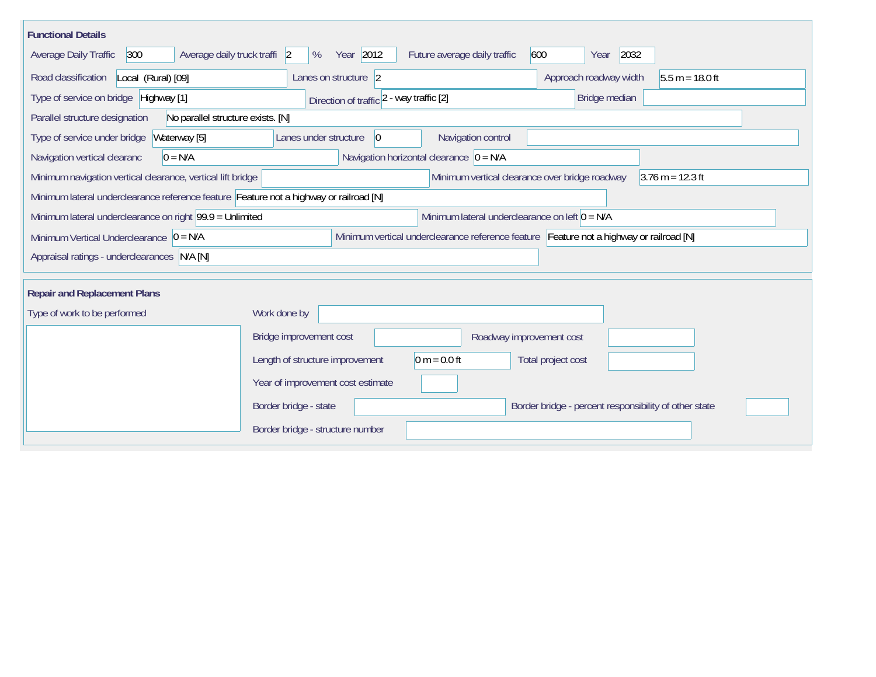| <b>Functional Details</b>                                                                                                                           |                                                                                |  |  |  |  |  |  |  |  |
|-----------------------------------------------------------------------------------------------------------------------------------------------------|--------------------------------------------------------------------------------|--|--|--|--|--|--|--|--|
| 300<br>Average daily truck traffi 2<br>Average Daily Traffic                                                                                        | Year 2012<br>Future average daily traffic<br>600<br>2032<br>%<br>Year          |  |  |  |  |  |  |  |  |
| Road classification<br>Local (Rural) [09]                                                                                                           | Lanes on structure 2<br>Approach roadway width<br>$5.5 m = 18.0 ft$            |  |  |  |  |  |  |  |  |
| Type of service on bridge Highway [1]                                                                                                               | Bridge median<br>Direction of traffic 2 - way traffic [2]                      |  |  |  |  |  |  |  |  |
| Parallel structure designation<br>No parallel structure exists. [N]                                                                                 |                                                                                |  |  |  |  |  |  |  |  |
| Waterway [5]<br>Type of service under bridge                                                                                                        | Navigation control<br>Lanes under structure<br>$\vert 0 \vert$                 |  |  |  |  |  |  |  |  |
| Navigation vertical clearanc<br>$0 = N/A$                                                                                                           | Navigation horizontal clearance $\vert 0 = N/A \vert$                          |  |  |  |  |  |  |  |  |
| Minimum navigation vertical clearance, vertical lift bridge<br>Minimum vertical clearance over bridge roadway<br>$3.76 \text{ m} = 12.3 \text{ ft}$ |                                                                                |  |  |  |  |  |  |  |  |
| Minimum lateral underclearance reference feature Feature not a highway or railroad [N]                                                              |                                                                                |  |  |  |  |  |  |  |  |
| Minimum lateral underclearance on left $0 = N/A$<br>Minimum lateral underclearance on right 99.9 = Unlimited                                        |                                                                                |  |  |  |  |  |  |  |  |
| Minimum vertical underclearance reference feature Feature not a highway or railroad [N]<br>Minimum Vertical Underclearance $ 0 = N/A$               |                                                                                |  |  |  |  |  |  |  |  |
| Appraisal ratings - underclearances N/A [N]                                                                                                         |                                                                                |  |  |  |  |  |  |  |  |
|                                                                                                                                                     |                                                                                |  |  |  |  |  |  |  |  |
| <b>Repair and Replacement Plans</b>                                                                                                                 |                                                                                |  |  |  |  |  |  |  |  |
| Type of work to be performed                                                                                                                        | Work done by                                                                   |  |  |  |  |  |  |  |  |
|                                                                                                                                                     | Bridge improvement cost<br>Roadway improvement cost                            |  |  |  |  |  |  |  |  |
|                                                                                                                                                     | $0 m = 0.0 ft$<br>Length of structure improvement<br>Total project cost        |  |  |  |  |  |  |  |  |
|                                                                                                                                                     | Year of improvement cost estimate                                              |  |  |  |  |  |  |  |  |
|                                                                                                                                                     | Border bridge - state<br>Border bridge - percent responsibility of other state |  |  |  |  |  |  |  |  |
|                                                                                                                                                     | Border bridge - structure number                                               |  |  |  |  |  |  |  |  |